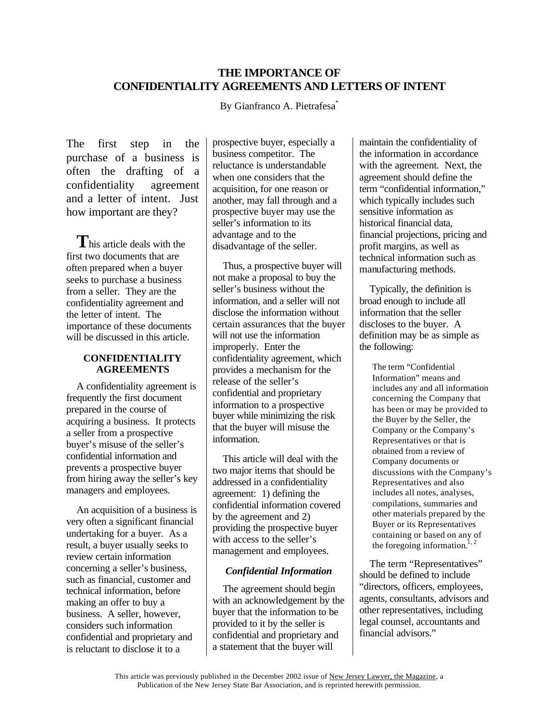# **THE IMPORTANCE OF CONFIDENTIALITY AGREEMENTS AND LETTERS OF INTENT**

By Gianfranco A. Pietrafesa<sup>\*</sup>

The first step in the purchase of a business is often the drafting of a confidentiality agreement and a letter of intent. Just how important are they?

**T**his article deals with the first two documents that are often prepared when a buyer seeks to purchase a business from a seller. They are the confidentiality agreement and the letter of intent. The importance of these documents will be discussed in this article.

#### **CONFIDENTIALITY AGREEMENTS**

A confidentiality agreement is frequently the first document prepared in the course of acquiring a business. It protects a seller from a prospective buyer's misuse of the seller's confidential information and prevents a prospective buyer from hiring away the seller's key managers and employees.

An acquisition of a business is very often a significant financial undertaking for a buyer. As a result, a buyer usually seeks to review certain information concerning a seller's business, such as financial, customer and technical information, before making an offer to buy a business. A seller, however, considers such information confidential and proprietary and is reluctant to disclose it to a

prospective buyer, especially a business competitor. The reluctance is understandable when one considers that the acquisition, for one reason or another, may fall through and a prospective buyer may use the seller's information to its advantage and to the disadvantage of the seller.

Thus, a prospective buyer will not make a proposal to buy the seller's business without the information, and a seller will not disclose the information without certain assurances that the buyer will not use the information improperly. Enter the confidentiality agreement, which provides a mechanism for the release of the seller's confidential and proprietary information to a prospective buyer while minimizing the risk that the buyer will misuse the information.

This article will deal with the two major items that should be addressed in a confidentiality agreement: 1) defining the confidential information covered by the agreement and 2) providing the prospective buyer with access to the seller's management and employees.

#### *Confidential Information*

The agreement should begin with an acknowledgement by the buyer that the information to be provided to it by the seller is confidential and proprietary and a statement that the buyer will

maintain the confidentiality of the information in accordance with the agreement. Next, the agreement should define the term "confidential information," which typically includes such sensitive information as historical financial data, financial projections, pricing and profit margins, as well as technical information such as manufacturing methods.

Typically, the definition is broad enough to include all information that the seller discloses to the buyer. A definition may be as simple as the following:

> The term "Confidential Information" means and includes any and all information concerning the Company that has been or may be provided to the Buyer by the Seller, the Company or the Company's Representatives or that is obtained from a review of Company documents or discussions with the Company's Representatives and also includes all notes, analyses, compilations, summaries and other materials prepared by the Buyer or its Representatives containing or based on any of the foregoing information.<sup>1, 2</sup>

The term "Representatives" should be defined to include "directors, officers, employees, agents, consultants, advisors and other representatives, including legal counsel, accountants and financial advisors."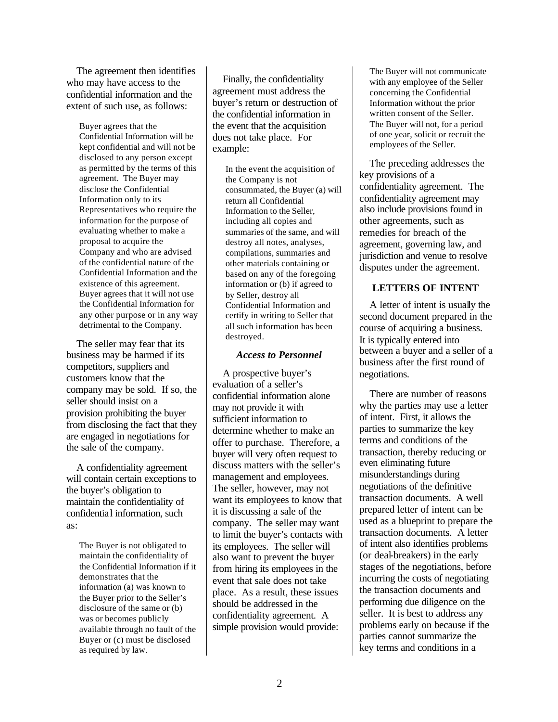The agreement then identifies who may have access to the confidential information and the extent of such use, as follows:

Buyer agrees that the Confidential Information will be kept confidential and will not be disclosed to any person except as permitted by the terms of this agreement. The Buyer may disclose the Confidential Information only to its Representatives who require the information for the purpose of evaluating whether to make a proposal to acquire the Company and who are advised of the confidential nature of the Confidential Information and the existence of this agreement. Buyer agrees that it will not use the Confidential Information for any other purpose or in any way detrimental to the Company.

The seller may fear that its business may be harmed if its competitors, suppliers and customers know that the company may be sold. If so, the seller should insist on a provision prohibiting the buyer from disclosing the fact that they are engaged in negotiations for the sale of the company.

A confidentiality agreement will contain certain exceptions to the buyer's obligation to maintain the confidentiality of confidential information, such as:

The Buyer is not obligated to maintain the confidentiality of the Confidential Information if it demonstrates that the information (a) was known to the Buyer prior to the Seller's disclosure of the same or (b) was or becomes publicly available through no fault of the Buyer or (c) must be disclosed as required by law.

Finally, the confidentiality agreement must address the buyer's return or destruction of the confidential information in the event that the acquisition does not take place. For example:

In the event the acquisition of the Company is not consummated, the Buyer (a) will return all Confidential Information to the Seller, including all copies and summaries of the same, and will destroy all notes, analyses, compilations, summaries and other materials containing or based on any of the foregoing information or (b) if agreed to by Seller, destroy all Confidential Information and certify in writing to Seller that all such information has been destroyed.

# *Access to Personnel*

A prospective buyer's evaluation of a seller's confidential information alone may not provide it with sufficient information to determine whether to make an offer to purchase. Therefore, a buyer will very often request to discuss matters with the seller's management and employees. The seller, however, may not want its employees to know that it is discussing a sale of the company. The seller may want to limit the buyer's contacts with its employees. The seller will also want to prevent the buyer from hiring its employees in the event that sale does not take place. As a result, these issues should be addressed in the confidentiality agreement. A simple provision would provide:

The Buyer will not communicate with any employee of the Seller concerning the Confidential Information without the prior written consent of the Seller. The Buyer will not, for a period of one year, solicit or recruit the employees of the Seller.

The preceding addresses the key provisions of a confidentiality agreement. The confidentiality agreement may also include provisions found in other agreements, such as remedies for breach of the agreement, governing law, and jurisdiction and venue to resolve disputes under the agreement.

# **LETTERS OF INTENT**

A letter of intent is usually the second document prepared in the course of acquiring a business. It is typically entered into between a buyer and a seller of a business after the first round of negotiations.

There are number of reasons why the parties may use a letter of intent. First, it allows the parties to summarize the key terms and conditions of the transaction, thereby reducing or even eliminating future misunderstandings during negotiations of the definitive transaction documents. A well prepared letter of intent can be used as a blueprint to prepare the transaction documents. A letter of intent also identifies problems (or deal-breakers) in the early stages of the negotiations, before incurring the costs of negotiating the transaction documents and performing due diligence on the seller. It is best to address any problems early on because if the parties cannot summarize the key terms and conditions in a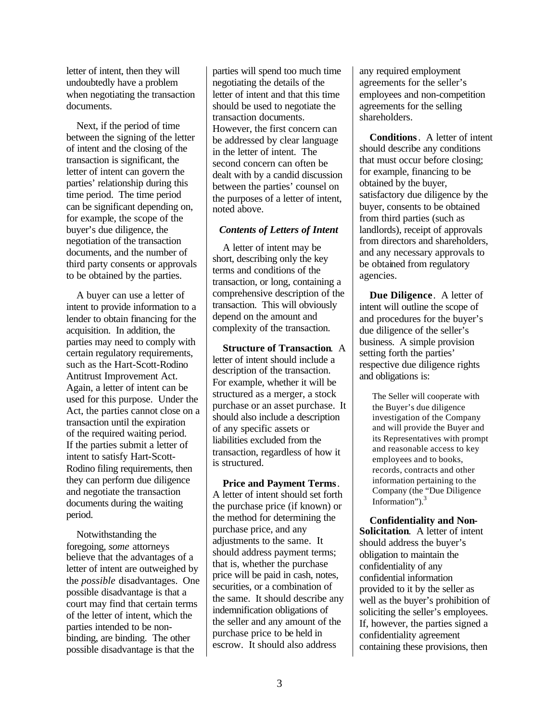letter of intent, then they will undoubtedly have a problem when negotiating the transaction documents.

Next, if the period of time between the signing of the letter of intent and the closing of the transaction is significant, the letter of intent can govern the parties' relationship during this time period. The time period can be significant depending on, for example, the scope of the buyer's due diligence, the negotiation of the transaction documents, and the number of third party consents or approvals to be obtained by the parties.

A buyer can use a letter of intent to provide information to a lender to obtain financing for the acquisition. In addition, the parties may need to comply with certain regulatory requirements, such as the Hart-Scott-Rodino Antitrust Improvement Act. Again, a letter of intent can be used for this purpose. Under the Act, the parties cannot close on a transaction until the expiration of the required waiting period. If the parties submit a letter of intent to satisfy Hart-Scott-Rodino filing requirements, then they can perform due diligence and negotiate the transaction documents during the waiting period.

Notwithstanding the foregoing, *some* attorneys believe that the advantages of a letter of intent are outweighed by the *possible* disadvantages. One possible disadvantage is that a court may find that certain terms of the letter of intent, which the parties intended to be nonbinding, are binding. The other possible disadvantage is that the

parties will spend too much time negotiating the details of the letter of intent and that this time should be used to negotiate the transaction documents. However, the first concern can be addressed by clear language in the letter of intent. The second concern can often be dealt with by a candid discussion between the parties' counsel on the purposes of a letter of intent, noted above.

#### *Contents of Letters of Intent*

A letter of intent may be short, describing only the key terms and conditions of the transaction, or long, containing a comprehensive description of the transaction. This will obviously depend on the amount and complexity of the transaction.

**Structure of Transaction***.* A letter of intent should include a description of the transaction. For example, whether it will be structured as a merger, a stock purchase or an asset purchase. It should also include a description of any specific assets or liabilities excluded from the transaction, regardless of how it is structured.

**Price and Payment Terms***.* A letter of intent should set forth the purchase price (if known) or the method for determining the purchase price, and any adjustments to the same. It should address payment terms; that is, whether the purchase price will be paid in cash, notes, securities, or a combination of the same. It should describe any indemnification obligations of the seller and any amount of the purchase price to be held in escrow. It should also address

any required employment agreements for the seller's employees and non-competition agreements for the selling shareholders.

**Conditions**. A letter of intent should describe any conditions that must occur before closing; for example, financing to be obtained by the buyer, satisfactory due diligence by the buyer, consents to be obtained from third parties (such as landlords), receipt of approvals from directors and shareholders, and any necessary approvals to be obtained from regulatory agencies.

**Due Diligence**. A letter of intent will outline the scope of and procedures for the buyer's due diligence of the seller's business. A simple provision setting forth the parties' respective due diligence rights and obligations is:

> The Seller will cooperate with the Buyer's due diligence investigation of the Company and will provide the Buyer and its Representatives with prompt and reasonable access to key employees and to books, records, contracts and other information pertaining to the Company (the "Due Diligence Information" $)^3$

**Confidentiality and Non-Solicitation**. A letter of intent should address the buyer's obligation to maintain the confidentiality of any confidential information provided to it by the seller as well as the buyer's prohibition of soliciting the seller's employees. If, however, the parties signed a confidentiality agreement containing these provisions, then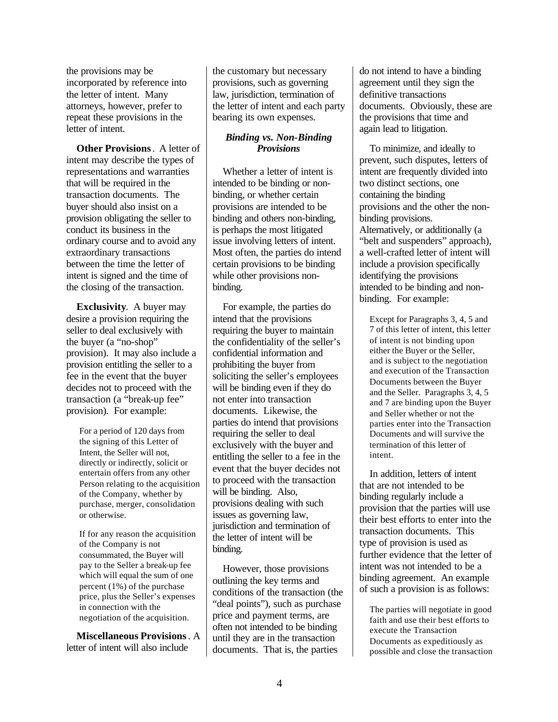the provisions may be incorporated by reference into the letter of intent. Many attorneys, however, prefer to repeat these provisions in the letter of intent.

**Other Provisions**. A letter of intent may describe the types of representations and warranties that will be required in the transaction documents. The buyer should also insist on a provision obligating the seller to conduct its business in the ordinary course and to avoid any extraordinary transactions between the time the letter of intent is signed and the time of the closing of the transaction.

**Exclusivity**. A buyer may desire a provision requiring the seller to deal exclusively with the buyer (a "no-shop" provision). It may also include a provision entitling the seller to a fee in the event that the buyer decides not to proceed with the transaction (a "break-up fee" provision). For example:

For a period of 120 days from the signing of this Letter of Intent, the Seller will not, directly or indirectly, solicit or entertain offers from any other Person relating to the acquisition of the Company, whether by purchase, merger, consolidation or otherwise.

If for any reason the acquisition of the Company is not consummated, the Buyer will pay to the Seller a break-up fee which will equal the sum of one percent (1%) of the purchase price, plus the Seller's expenses in connection with the negotiation of the acquisition.

**Miscellaneous Provisions**. A letter of intent will also include

the customary but necessary provisions, such as governing law, jurisdiction, termination of the letter of intent and each party bearing its own expenses.

# *Binding vs. Non-Binding Provisions*

Whether a letter of intent is intended to be binding or nonbinding, or whether certain provisions are intended to be binding and others non-binding, is perhaps the most litigated issue involving letters of intent. Most often, the parties do intend certain provisions to be binding while other provisions nonbinding.

For example, the parties do intend that the provisions requiring the buyer to maintain the confidentiality of the seller's confidential information and prohibiting the buyer from soliciting the seller's employees will be binding even if they do not enter into transaction documents. Likewise, the parties do intend that provisions requiring the seller to deal exclusively with the buyer and entitling the seller to a fee in the event that the buyer decides not to proceed with the transaction will be binding. Also, provisions dealing with such issues as governing law, jurisdiction and termination of the letter of intent will be binding.

However, those provisions outlining the key terms and conditions of the transaction (the "deal points"), such as purchase price and payment terms, are often not intended to be binding until they are in the transaction documents. That is, the parties

do not intend to have a binding agreement until they sign the definitive transactions documents. Obviously, these are the provisions that time and again lead to litigation.

To minimize, and ideally to prevent, such disputes, letters of intent are frequently divided into two distinct sections, one containing the binding provisions and the other the nonbinding provisions. Alternatively, or additionally (a "belt and suspenders" approach), a well-crafted letter of intent will include a provision specifically identifying the provisions intended to be binding and nonbinding. For example:

Except for Paragraphs 3, 4, 5 and 7 of this letter of intent, this letter of intent is not binding upon either the Buyer or the Seller, and is subject to the negotiation and execution of the Transaction Documents between the Buyer and the Seller. Paragraphs 3, 4, 5 and 7 are binding upon the Buyer and Seller whether or not the parties enter into the Transaction Documents and will survive the termination of this letter of intent.

In addition, letters of intent that are not intended to be binding regularly include a provision that the parties will use their best efforts to enter into the transaction documents. This type of provision is used as further evidence that the letter of intent was not intended to be a binding agreement. An example of such a provision is as follows:

The parties will negotiate in good faith and use their best efforts to execute the Transaction Documents as expeditiously as possible and close the transaction